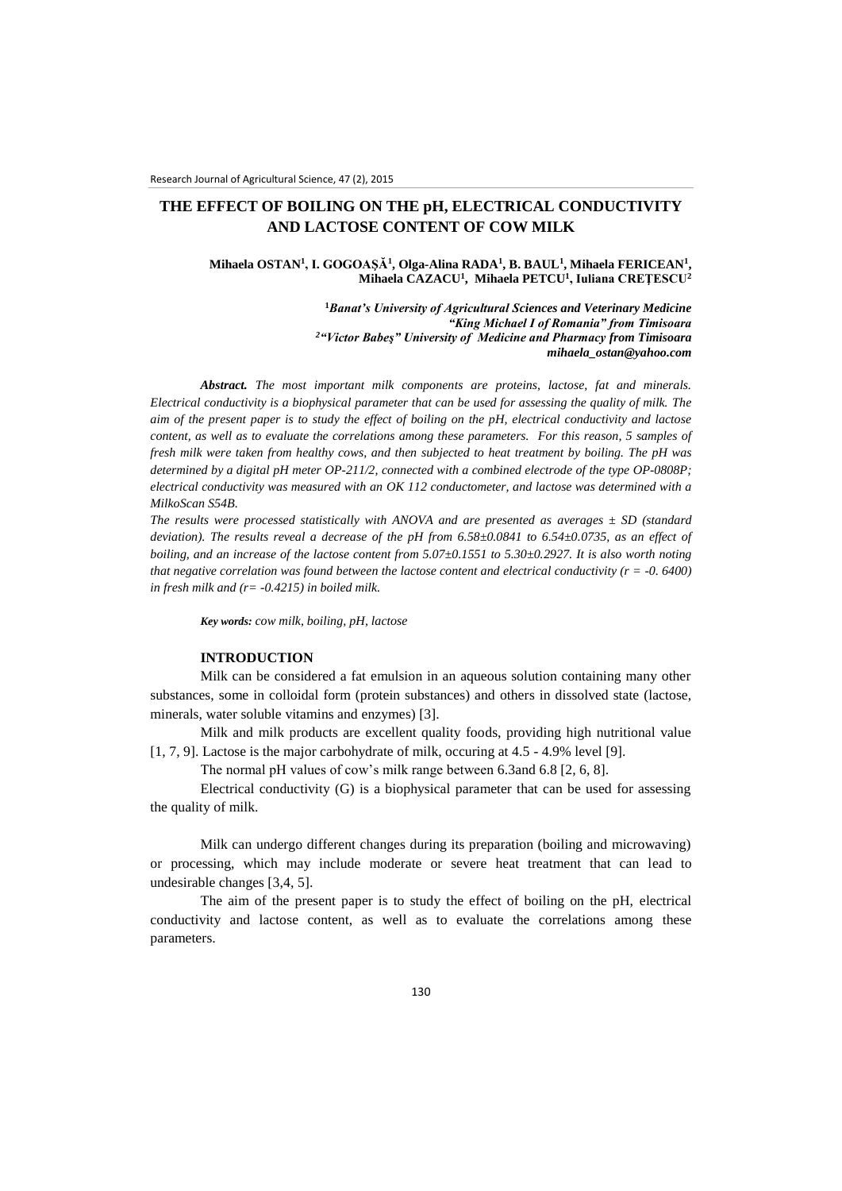# **THE EFFECT OF BOILING ON THE pH, ELECTRICAL CONDUCTIVITY AND LACTOSE CONTENT OF COW MILK**

## **Mihaela OSTAN<sup>1</sup> , I. GOGOAŞĂ<sup>1</sup> , Olga-Alina RADA<sup>1</sup> , B. BAUL<sup>1</sup> , Mihaela FERICEAN<sup>1</sup> , Mihaela CAZACU<sup>1</sup> , Mihaela PETCU<sup>1</sup> , Iuliana CREŢESCU<sup>2</sup>**

**<sup>1</sup>***Banat's University of Agricultural Sciences and Veterinary Medicine "King Michael I of Romania" from Timisoara <sup>2</sup>"Victor Babeş" University of Medicine and Pharmacy from Timisoara [mihaela\\_ostan@yahoo.com](mailto:mihaela_ostan@yahoo.com)*

*Abstract. The most important milk components are proteins, lactose, fat and minerals. Electrical conductivity is a biophysical parameter that can be used for assessing the quality of milk. The aim of the present paper is to study the effect of boiling on the pH, electrical conductivity and lactose content, as well as to evaluate the correlations among these parameters. For this reason, 5 samples of fresh milk were taken from healthy cows, and then subjected to heat treatment by boiling. The pH was determined by a digital pH meter OP-211/2, connected with a combined electrode of the type OP-0808P; electrical conductivity was measured with an OK 112 conductometer, and lactose was determined with a MilkoScan S54B.*

*The results were processed statistically with ANOVA and are presented as averages ± SD (standard deviation). The results reveal a decrease of the pH from 6.58±0.0841 to 6.54±0.0735, as an effect of boiling, and an increase of the lactose content from 5.07±0.1551 to 5.30±0.2927. It is also worth noting that negative correlation was found between the lactose content and electrical conductivity (* $r = -0.6400$ *) in fresh milk and (r= -0.4215) in boiled milk.*

*Key words: cow milk, boiling, pH, lactose*

### **INTRODUCTION**

Milk can be considered a fat emulsion in an aqueous solution containing many other substances, some in colloidal form (protein substances) and others in dissolved state (lactose, minerals, water soluble vitamins and enzymes) [3].

Milk and milk products are excellent quality foods, providing high nutritional value [1, 7, 9]. Lactose is the major carbohydrate of milk, occuring at 4.5 - 4.9% level [9].

The normal pH values of cow's milk range between 6.3and 6.8 [2, 6, 8].

Electrical conductivity (G) is a biophysical parameter that can be used for assessing the quality of milk.

Milk can undergo different changes during its preparation (boiling and microwaving) or processing, which may include moderate or severe heat treatment that can lead to undesirable changes [3,4, 5].

The aim of the present paper is to study the effect of boiling on the pH, electrical conductivity and lactose content, as well as to evaluate the correlations among these parameters.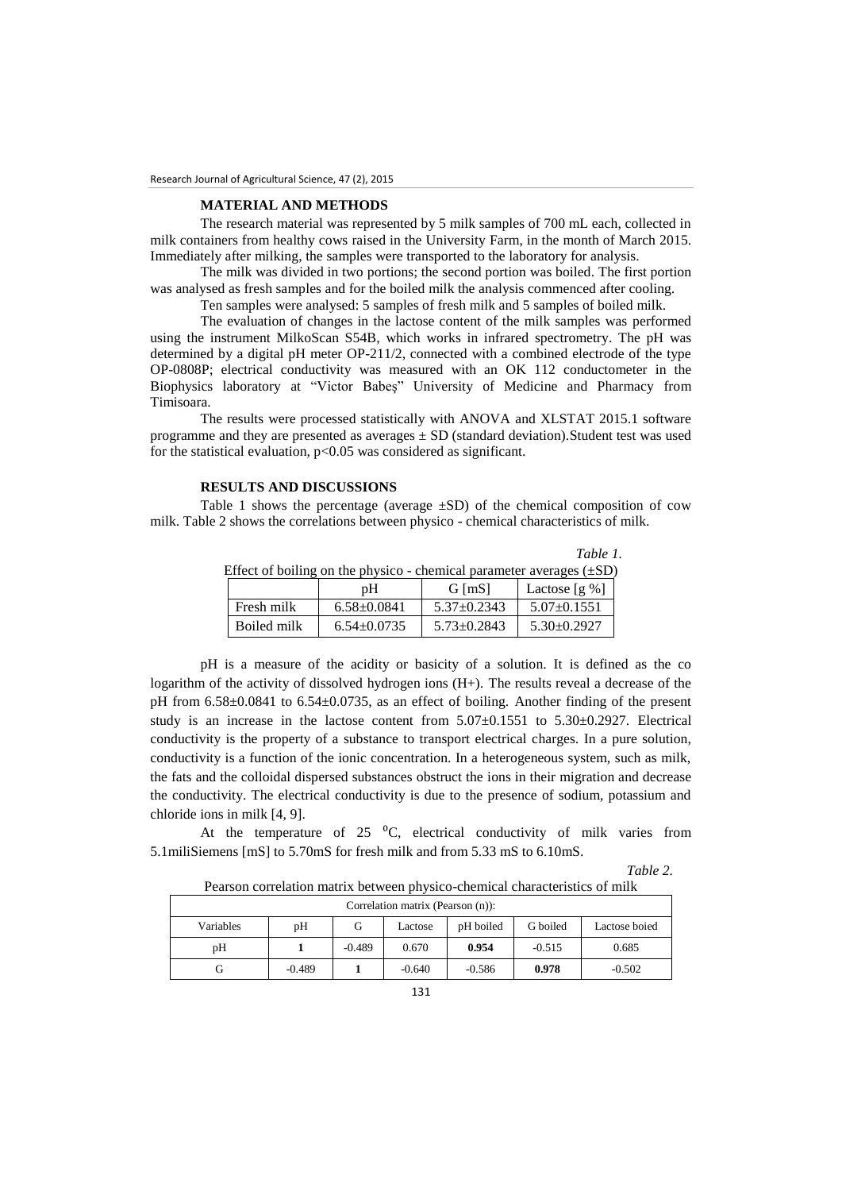#### **MATERIAL AND METHODS**

The research material was represented by 5 milk samples of 700 mL each, collected in milk containers from healthy cows raised in the University Farm, in the month of March 2015. Immediately after milking, the samples were transported to the laboratory for analysis.

The milk was divided in two portions; the second portion was boiled. The first portion was analysed as fresh samples and for the boiled milk the analysis commenced after cooling.

Ten samples were analysed: 5 samples of fresh milk and 5 samples of boiled milk.

The evaluation of changes in the lactose content of the milk samples was performed using the instrument MilkoScan S54B, which works in infrared spectrometry. The pH was determined by a digital pH meter OP-211/2, connected with a combined electrode of the type OP-0808P; electrical conductivity was measured with an OK 112 conductometer in the Biophysics laboratory at "Victor Babeş" University of Medicine and Pharmacy from Timisoara.

The results were processed statistically with ANOVA and XLSTAT 2015.1 software programme and they are presented as averages  $\pm$  SD (standard deviation). Student test was used for the statistical evaluation,  $p<0.05$  was considered as significant.

## **RESULTS AND DISCUSSIONS**

Table 1 shows the percentage (average  $\pm SD$ ) of the chemical composition of cow milk. Table 2 shows the correlations between physico - chemical characteristics of milk.

|                                                                           |                   |                   | Table 1.          |  |  |  |  |
|---------------------------------------------------------------------------|-------------------|-------------------|-------------------|--|--|--|--|
| Effect of boiling on the physico - chemical parameter averages $(\pm SD)$ |                   |                   |                   |  |  |  |  |
|                                                                           | рH                | G [mS]            | Lactose $[g\%]$   |  |  |  |  |
| Fresh milk                                                                | $6.58 \pm 0.0841$ | $5.37 \pm 0.2343$ | $5.07 \pm 0.1551$ |  |  |  |  |
| Boiled milk                                                               | $6.54 \pm 0.0735$ | $5.73 \pm 0.2843$ | $5.30\pm0.2927$   |  |  |  |  |

pH is a measure of the acidity or basicity of a solution. It is defined as the co logarithm of the activity of dissolved hydrogen ions (H+). The results reveal a decrease of the pH from 6.58±0.0841 to 6.54±0.0735, as an effect of boiling. Another finding of the present study is an increase in the lactose content from  $5.07\pm0.1551$  to  $5.30\pm0.2927$ . Electrical conductivity is the property of a substance to transport electrical charges. In a pure solution, conductivity is a function of the ionic concentration. In a heterogeneous system, such as milk, the fats and the colloidal dispersed substances obstruct the ions in their migration and decrease the conductivity. The electrical conductivity is due to the presence of sodium, potassium and chloride ions in milk [4, 9].

At the temperature of  $25\text{ °C}$ , electrical conductivity of milk varies from 5.1miliSiemens [mS] to 5.70mS for fresh milk and from 5.33 mS to 6.10mS.

Pearson correlation matrix between physico-chemical characteristics of milk

*Table 2.*

| Pearson correlation matrix between difference-chemical characteristics of milix |          |          |          |           |          |               |  |
|---------------------------------------------------------------------------------|----------|----------|----------|-----------|----------|---------------|--|
| Correlation matrix (Pearson (n)):                                               |          |          |          |           |          |               |  |
| Variables                                                                       | pН       | G        | Lactose  | pH boiled | G boiled | Lactose boied |  |
| pН                                                                              |          | $-0.489$ | 0.670    | 0.954     | $-0.515$ | 0.685         |  |
| G                                                                               | $-0.489$ |          | $-0.640$ | $-0.586$  | 0.978    | $-0.502$      |  |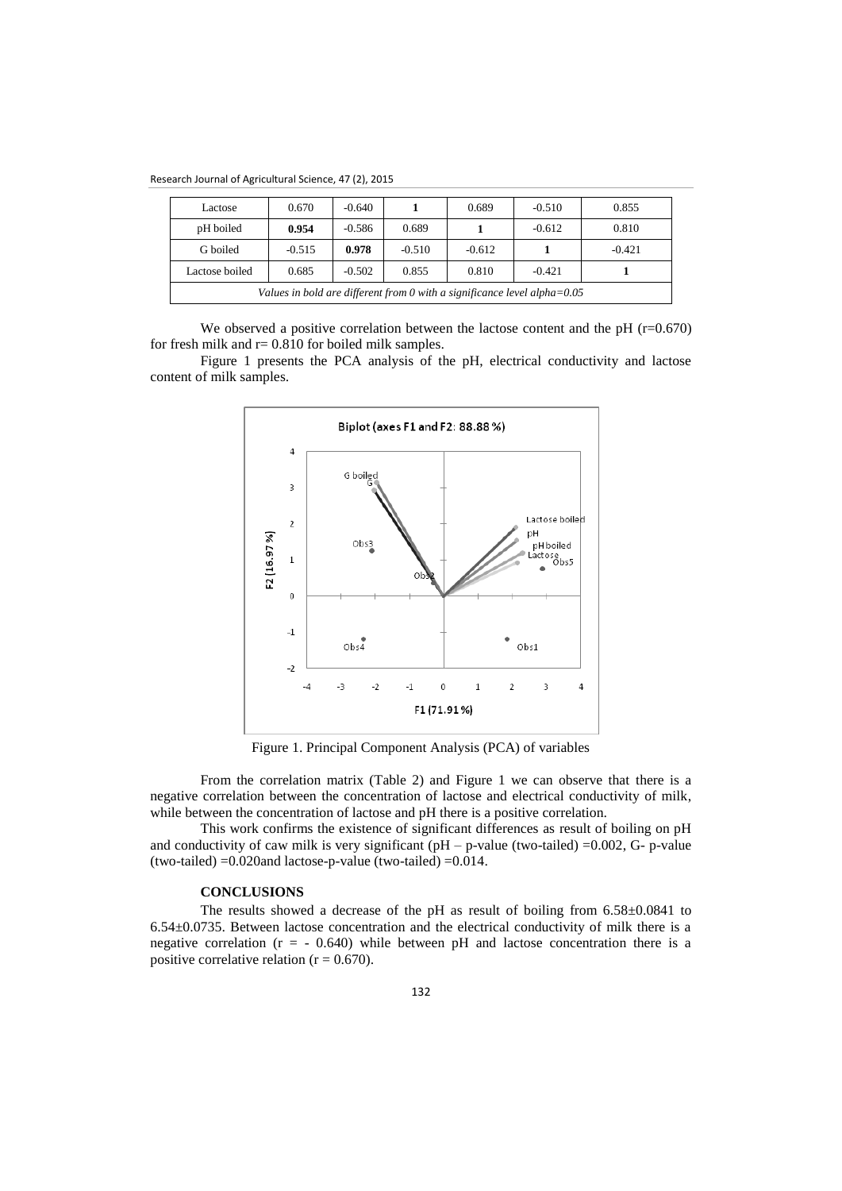Research Journal of Agricultural Science, 47 (2), 2015

| Lactose                                                                     | 0.670    | $-0.640$ |          | 0.689    | $-0.510$ | 0.855    |
|-----------------------------------------------------------------------------|----------|----------|----------|----------|----------|----------|
| pH boiled                                                                   | 0.954    | $-0.586$ | 0.689    |          | $-0.612$ | 0.810    |
| G boiled                                                                    | $-0.515$ | 0.978    | $-0.510$ | $-0.612$ |          | $-0.421$ |
| Lactose boiled                                                              | 0.685    | $-0.502$ | 0.855    | 0.810    | $-0.421$ |          |
| Values in bold are different from 0 with a significance level alpha= $0.05$ |          |          |          |          |          |          |

We observed a positive correlation between the lactose content and the pH  $(r=0.670)$ for fresh milk and  $r = 0.810$  for boiled milk samples.

Figure 1 presents the PCA analysis of the pH, electrical conductivity and lactose content of milk samples.



Figure 1. Principal Component Analysis (PCA) of variables

From the correlation matrix (Table 2) and Figure 1 we can observe that there is a negative correlation between the concentration of lactose and electrical conductivity of milk, while between the concentration of lactose and pH there is a positive correlation.

This work confirms the existence of significant differences as result of boiling on pH and conductivity of caw milk is very significant ( $pH - p$ -value (two-tailed) =0.002, G- p-value (two-tailed)  $=0.020$ and lactose-p-value (two-tailed)  $=0.014$ .

# **CONCLUSIONS**

The results showed a decrease of the pH as result of boiling from 6.58±0.0841 to 6.54±0.0735. Between lactose concentration and the electrical conductivity of milk there is a negative correlation  $(r = -0.640)$  while between pH and lactose concentration there is a positive correlative relation ( $r = 0.670$ ).